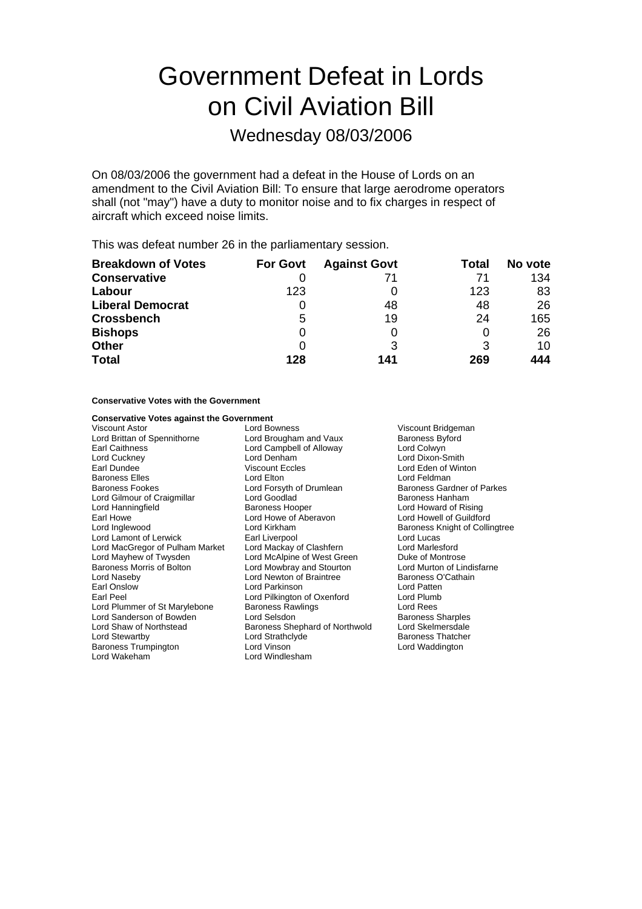# Government Defeat in Lords on Civil Aviation Bill

Wednesday 08/03/2006

On 08/03/2006 the government had a defeat in the House of Lords on an amendment to the Civil Aviation Bill: To ensure that large aerodrome operators shall (not "may") have a duty to monitor noise and to fix charges in respect of aircraft which exceed noise limits.

This was defeat number 26 in the parliamentary session.

| <b>Breakdown of Votes</b> | <b>For Govt</b> | <b>Against Govt</b> | Total | No vote |
|---------------------------|-----------------|---------------------|-------|---------|
| <b>Conservative</b>       |                 | 71                  | 71    | 134     |
| Labour                    | 123             |                     | 123   | 83      |
| <b>Liberal Democrat</b>   | O               | 48                  | 48    | 26      |
| <b>Crossbench</b>         | 5               | 19                  | 24    | 165     |
| <b>Bishops</b>            | 0               |                     | O     | 26      |
| <b>Other</b>              | $\Omega$        |                     | 3     | 10      |
| <b>Total</b>              | 128             | 141                 | 269   | 444     |

#### **Conservative Votes with the Government**

**Conservative Votes against the Government**<br>Viscount Astor Lord Bowness Viscount Astor Lord Bowness Viscount Bridgeman Lord Brittan of Spennithorne Lord Brougham and Vaux Baroness Byford<br>
Earl Caithness Campbell of Alloway Lord Colwyn Earl Caithness **Lord Campbell of Alloway**<br>
Lord Cuckney **Lord Denham** Lord Denham Lord Dixon-Smith<br>Viscount Eccles Lord Eden of Wint Earl Dundee **Carl Dundee** Viscount Eccles **Lord Eden of Winton** Baroness Elles **Communist Communist Communist Communist Communist Communist Communist Communist Communist Communist Communist Communist Communist Communist Communist Communist Communist Communist Communist Communist Commun** Lord Gilmour of Craigmillar **Lord Goodlad** Baroness Hanham Lord Hanningfield **Exercise State Baroness Hooper** Lord Howard of Rising<br>Earl Howe **Lord Howard Lord Howe of Aberavon** Lord Howell of Guildford Earl Howe The Lord Howe of Aberavon<br>
Lord Indewood Lord Kirkham Lord Kirkham **Baroness Knight of Collingtree**<br> **Baroness Knight of Collingtree**<br>
Lord Lucas Lord Lamont of Lerwick Earl Liverpool<br>
Lord MacGregor of Pulham Market Lord Mackay of Clashfern Lord Marlesford Lord MacGregor of Pulham Market Lord Mackay of Clashfern Lord Marlesford Lord Mayhew of Twysden Lord McAlpine of West Green Duke of Montrose<br>
Baroness Morris of Bolton Lord Mowbray and Stourton Lord Murton of Lindisfarne Baroness Morris of Bolton Lord Mowbray and Stourton Lord Murton of Lindis<br>
Lord Naseby Lord Newton of Braintree Baroness O'Cathain Lord Newton of Braintree **Baroness O'Cathain**<br>
Lord Parkinson<br>
Lord Patten Earl Onslow **Carl Constructs** Lord Parkinson **Lord Patten Lord Patten**<br>
Lord Pilkington of Oxenford Lord Plumb Earl Peel Lord Pilkington of Oxenford Lord Plumb Lord Plummer of St Marylebone Lord Sanderson of Bowden Lord Selsdon **Baroness Sharples** Baroness Sharples Lord Shaw of Northstead Baroness Shephard of Northwold Lord Skelmersdale<br>Lord Strathclyde Baroness Thatcher Baroness Trumpington **Lord Vinson** Lord Vinson Lord Waddington Lord Wakeham **Lord Windlesham** 

Baroness Gardner of Parkes Baroness Thatcher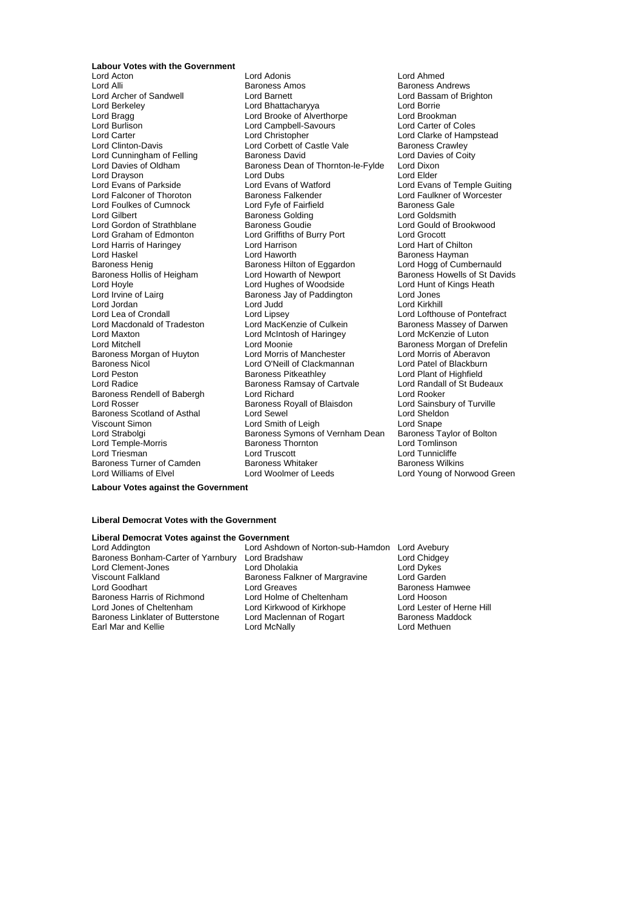# **Labour Votes with the Government**

Lord Burlison Lord Campbell-Savours<br>
Lord Carter Lord Campbell-Savours<br>
Lord Christopher Lord Cunningham of Felling<br>Lord Davies of Oldham Lord Drayson<br>
Lord Evans of Parkside<br>
Lord Evans of Matford Lord Harris of Haringey **Lord Harrison**<br>
Lord Haskel Chilton Lord Haworth Baroness Henig<br>Baroness Henig de Baroness Hilton of Eggardon<br>Baroness Hollis of Heigham Lord Howarth of Newport Lord Jordan Lord Judd<br>
Lord Lea of Crondall Lord Lipsev Baroness Nicol **Lord O'Neill of Clackmannan**<br>
Lord Peston **Clackmannan**<br>
Baroness Pitkeathlev Baroness Turner of Camden Baroness Whitaker<br>
Lord Williams of Elvel Baroness Woolmer of Leeds

Lord Acton Lord Adonis Lord Ahmed Lord Alli **Baroness Amos** Baroness Amos<br>
Lord Archer of Sandwell **Baroness Amos** Lord Baroness Andrews Lord Bassam of Bri Lord Archer of Sandwell **Lord Barnett** Lord Barnett **Lord Bassam of Brighton**<br>
Lord Berkeley **Lord Battacharyya** Lord Borrie Lord Borrie Lord Berkeley Lord Bhattacharyya Lord Borrie Lord Bragg **Lord Brooken Club Alverthorpe** Lord Brookman<br>
Lord Burlison Lord Campbell-Savours Lord Carter of Coles Lord Clinton-Davis **Lord Corbett of Castle Vale** Baroness Crawley<br>
Lord Cunningham of Felling **Baroness David** Bavid Lord Davies of Coity Baroness Dean of Thornton-le-Fylde Lord Dixon<br>Lord Dubs Lord Dixon Lord Evans of Parkside **Lord Evans of Watford** Lord Evans of Temple Guiting<br>
Lord Falconer of Thoroton **Baroness Falkender** Lord Faulkner of Worcester Lord Falconer of Thoroton Baroness Falkender Lord Faulkner of Worcester Lord Foulkes of Cumnock Lord Fyfe of Fairfield Baroness Gale<br>
Lord Gilbert **Baroness Golding** Baroness Golding Lord Goldsmith Lord Gilbert **Construction Collect Constructs** Baroness Golding **Lord Goldsmith**<br>
Lord Gordon of Strathblane **Baroness Goudie Baroness Goudie** Lord Gould of Brookwood Lord Gordon of Strathblane **Baroness Goudie** Cord Gould of Brook Lord Gould of Brook Lord Grocott Cord Groot Lord Grocott Lord Graham of Edmonton Lord Griffiths of Burry Port Lord Grocott<br>
Lord Harris of Haringey Lord Harrison Lord Harrison Lord Harris Lord Harrison Lord Haskel **Lord Haworth** Baroness Hayman<br>
Baroness Henig **Baroness Henimes Baroness Hilton of Eggardon** Lord Hogg of Cumbernauld Baroness Hollis of Heigham Lord Howarth of Newport Baroness Howells of St Davids<br>
Lord Howle Lord Hundes of Woodside Lord Hunt of Kings Heath Lord Hoyle Lord Hughes of Woodside Lord Hunt of Kings Heath **Baroness Jay of Paddington Lord Jones<br>Lord Judd** Lord Kirkhill Lord Lipsey<br>
Lord MacKenzie of Culkein<br>
Baroness Massey of Darwen Lord Macdonald of Tradeston Lord MacKenzie of Culkein Baroness Massey of Da<br>Lord Maxton Lord McMenzie of Luton Lord McMenzie of Luton Lord McIntosh of Haringey Lord Mitchell<br>
Baroness Morgan of Huyton **Lord Morris of Manchester** Baroness Morgan of Drefelin<br>
Baroness Morgan of Huyton **Lord Morris of Manchester** Lord Morris of Aberavon Baroness Morgan of Huyton Lord Morris of Manchester Lord Morris of Aberavon<br>Baroness Nicol Lord O'Neill of Clackmannan Lord Patel of Blackburn Lord Radice Lord Randal<br>Baroness Rendell of Babergh Lord Richard Lord Cartvale Lord Rooker Baroness Rendell of Babergh Lord Richard<br>
Lord Rosser Cord Rooker<br>
Lord Rosser Cord Baroness Royall of Blaisdon Lord Sainsbury of Turville Baroness Royall of Blaisdon Baroness Scotland of Asthal Lord Sewel Lord Sheldon Viscount Simon Lord Smith of Leigh Lord Snape Lord Strabolgi **Baroness Symons of Vernham Dean** Baroness Taylor Cord Temple-Morris **Cord Baroness Taylor of Bolton** Lord Temple-Morris Baroness Thornton Lord Tomlinson Lord Triesman **Lord Truscott** Lord Truscott Lord Tunnicliffe<br>
Baroness Turner of Camden **Baroness Whitaker** Baroness Wilkins

Lord Clarke of Hampstead<br>Baroness Crawley Lord Plant of Highfield<br>Lord Randall of St Budeaux Lord Young of Norwood Green

**Labour Votes against the Government**

#### **Liberal Democrat Votes with the Government**

## **Liberal Democrat Votes against the Government**

Viscount Falkland Baroness Falkner of Margravine<br>
Lord Goodhart Lord Greaves

Lord Ashdown of Norton-sub-Hamdon Lord Avebury<br>Lord Bradshaw Lord Chidgey Baroness Bonham-Carter of Yarnbury Lord Bradshaw **Lord Chidge**<br>Lord Clement-Jones **Lord Dream Lord Dholakia** Lord Chidge Lord Clement-Jones Lord Dholakia Lord Dykes Lord Greaves **Cooley Cooley Cooley Baroness Hamwee**<br>
Lord Holme of Cheltenham **Baroness Lord Hooson** Baroness Harris of Richmond Lord Holme of Cheltenham Lord Hooson<br>
Lord Jones of Cheltenham Lord Kirkwood of Kirkhope Lord Lester of Herne Hill Lord Kirkwood of Kirkhope Baroness Linklater of Butterstone Lord Maclennan of Rogart Baroness Maddock Earl Mar and Kellie **Lord McNally** Lord McNally **Lord Methuen**